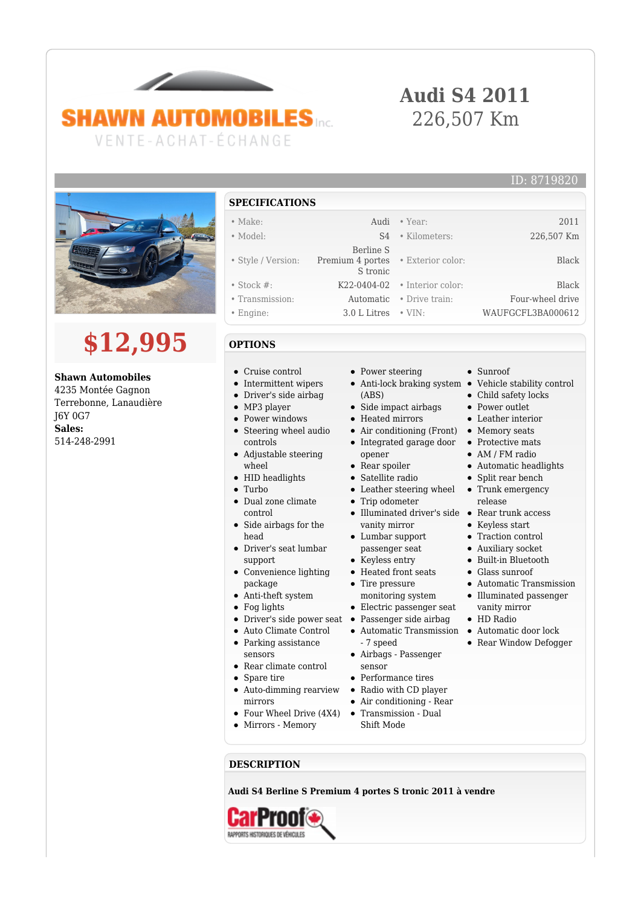## **SHAWN AUTOMOBILES** VENTE-ACHAT-ÉCHANGE

### **Audi S4 2011** 226,507 Km



# **\$12,995**

**Shawn Automobiles** 4235 Montée Gagnon Terrebonne, Lanaudière J6Y 0G7 **Sales:** 514-248-2991

#### **SPECIFICATIONS**

- Make: Audi Year: 2011
- Model: S4 Kilometers: 226,507 Km
- Style / Version: Berline S Premium 4 portes
- Stock #: K22-0404-02 Interior color: Black
- Transmission: Automatic Drive train: Four-wheel drive
- Engine: 3.0 L Litres VIN: WAUFGCFL3BA000612

### **OPTIONS**

- Cruise control
- Intermittent wipers
- Driver's side airbag
- MP3 player
- Power windows
- Steering wheel audio controls
- Adjustable steering wheel
- HID headlights
- Turbo
- Dual zone climate control • Side airbags for the
- head
- Driver's seat lumbar support
- Convenience lighting package
- Anti-theft system
- Fog lights
- Driver's side power seat
- Auto Climate Control
- Parking assistance sensors
- Rear climate control
- Spare tire
- Auto-dimming rearview
- mirrors
- Four Wheel Drive (4X4)
- Mirrors Memory
- **DESCRIPTION**

**Audi S4 Berline S Premium 4 portes S tronic 2011 à vendre**



• Power steering

S tronic

- Anti-lock braking system Vehicle stability control (ABS)
- Side impact airbags
- Heated mirrors
- Integrated garage door opener
- Rear spoiler
- Satellite radio
- Leather steering wheel
- Trip odometer  $\bullet$
- $\bullet$ Illuminated driver's side Rear trunk access vanity mirror
- Lumbar support passenger seat
- Keyless entry
- Heated front seats
- Tire pressure monitoring system
- Electric passenger seat
- Passenger side airbag
- Automatic Transmission Automatic door lock
- sensor
- Performance tires
- Radio with CD player
- Air conditioning Rear
- Transmission Dual Shift Mode

• Sunroof

• Exterior color: Black

ID: 8719820

- Child safety locks
- Power outlet
- Leather interior
- 
- Protective mats
	-
	-
- Split rear bench
- release
- 
- 
- Traction control
- Auxiliary socket
- 
- 
- 
- vanity mirror
- 
- 
- Air conditioning (Front) Memory seats
	- AM / FM radio
		- Automatic headlights
		- Trunk emergency
	- - Keyless start
		-
		- Built-in Bluetooth
		- Glass sunroof
		- Automatic Transmission
		- Illuminated passenger
		- HD Radio
		-
		- Rear Window Defogger
- 7 speed Airbags - Passenger